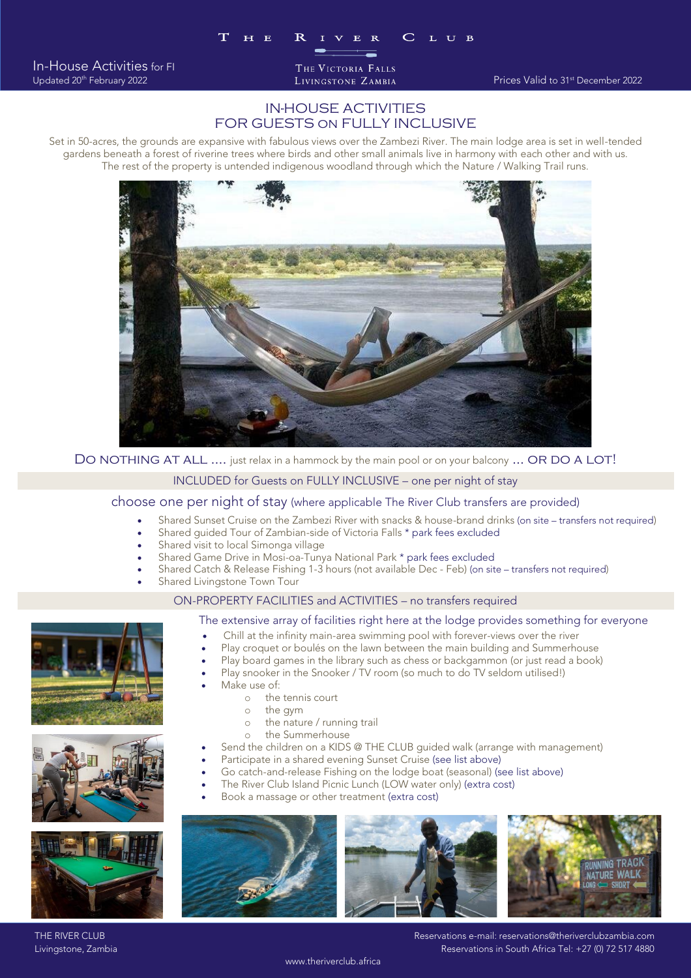In-House Activities for FI Updated 20<sup>th</sup> February 2022 THE VICTORIA FALLS

## IN-HOUSE ACTIVITIES FOR GUESTS on FULLY INCLUSIVE

Set in 50-acres, the grounds are expansive with fabulous views over the Zambezi River. The main lodge area is set in well-tended The rest of the property is untended indigenous woodland through which the Nature / Walking Trail runs.



DO NOTHING AT ALL .... just relax in a hammock by the main pool or on your balcony ... OR DO A LOT!

# INCLUDED for Guests on FULLY INCLUSIVE – one per night of stay<br>choose one per night of stay (where applicable The River Club transfers are provided)

- choose one per night of stay (where application on the River Club transfers are provided). • Shared Sunset Cruise on the Zambezi River with snacks & house-brand drinks (on site – transfers not required)
	- Shared guided Tour of Zambian-side of Victoria Falls \* park fees excluded<br>Shared visit to local Simonga village
	-
	- Shared Game Drive in Mosi-oa-Tunya National Park \* park fees excluded • Shared Game Drive in Mosi-oa-Tunya National Park \* park fees excluded
	- Shared Catch & Release Fishing 1-3 hours (not available Dec Feb) (on site transfers not required)
	-

# Shared Livingstone Town Tour<br>
ON-PROPERTY FACILITIES and ACTIVITIES – no transfers required

## The extensive array of facilities right here at the lodge provides something for everyone

- Chill at the infinity main-area swimming pool with forever-views over the river<br>• Play croquet or boules on the lawn between the main building and Summerbouse
- Play croquet or boulés on the lawn between the main building and Summerhouse
- Play board games in the library such as chess or backgammon (or just read a book)
- Play snooker in the Snooker / TV room (so much to do TV seldom utilised!)
- Make use of:<br> $\frac{1}{2}$  he
	- $\circ$  the tennis court<br> $\circ$  the gym
	- $\circ$  the gym<br> $\circ$  the natu
	- o the nature / running trail<br>o the Summerhouse
	- o the Summerhouse<br>The children on a KIDS
- Send the children on a KIDS @ THE CLUB guided walk (arrange with management)
- Participate in a shared evening Sunset Cruise (see list above)
- Go catch-and-release Fishing on the lodge boat (seasonal) (see list above)
	- The River Club Island Picnic Lunch (LOW water only) (extra cost)
- Book a massage or other treatment (extra cost)